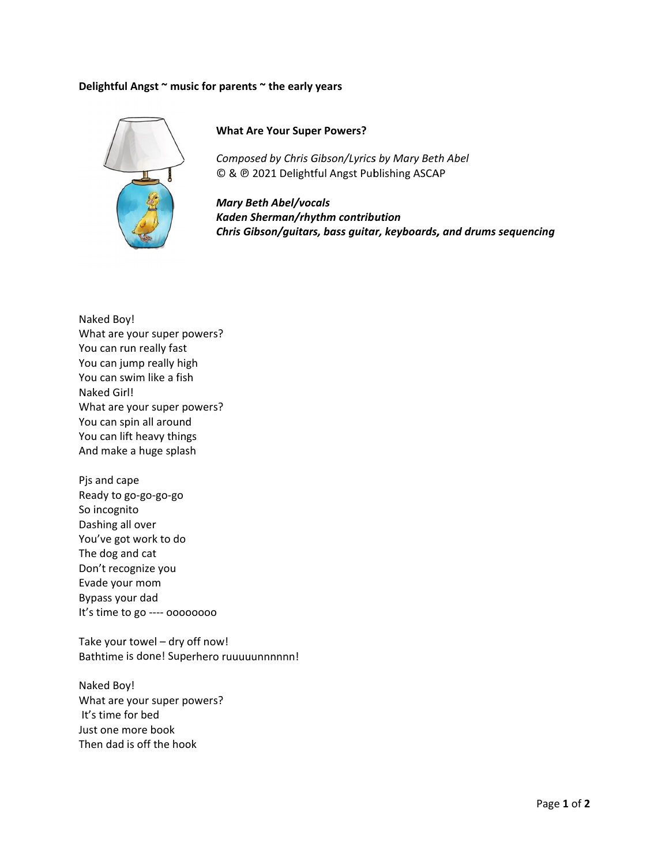## Delightful Angst ~ music for parents ~ the early years



## **What Are Your Super Powers?**

Composed by Chris Gibson/Lyrics by Mary Beth Abel © & @ 2021 Delightful Angst Publishing ASCAP

**Mary Beth Abel/vocals** Kaden Sherman/rhythm contribution Chris Gibson/guitars, bass guitar, keyboards, and drums sequencing

Naked Boy! What are your super powers? You can run really fast You can jump really high You can swim like a fish Naked Girl! What are your super powers? You can spin all around You can lift heavy things And make a huge splash

Pjs and cape Ready to go-go-go-go So incognito Dashing all over You've got work to do The dog and cat Don't recognize you Evade your mom Bypass your dad It's time to go ---- 00000000

Take your towel - dry off now! Bathtime is done! Superhero ruuuuunnnnnn!

Naked Boy! What are your super powers? It's time for bed Just one more book Then dad is off the hook